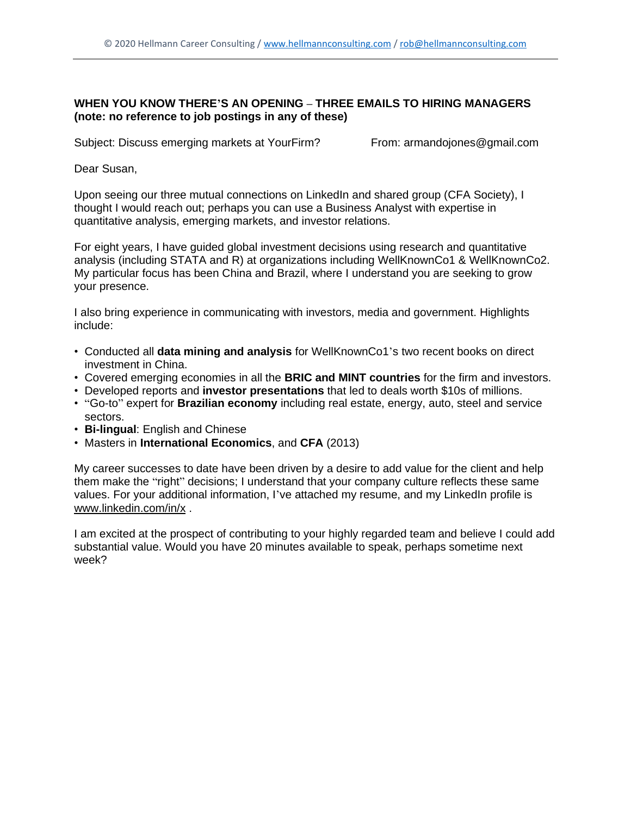## **WHEN YOU KNOW THERE'S AN OPENING – THREE EMAILS TO HIRING MANAGERS (note: no reference to job postings in any of these)**

Subject: Discuss emerging markets at YourFirm? From: armandojones@gmail.com

Dear Susan,

Upon seeing our three mutual connections on LinkedIn and shared group (CFA Society), I thought I would reach out; perhaps you can use a Business Analyst with expertise in quantitative analysis, emerging markets, and investor relations.

For eight years, I have guided global investment decisions using research and quantitative analysis (including STATA and R) at organizations including WellKnownCo1 & WellKnownCo2. My particular focus has been China and Brazil, where I understand you are seeking to grow your presence.

I also bring experience in communicating with investors, media and government. Highlights include:

- Conducted all **data mining and analysis** for WellKnownCo1's two recent books on direct investment in China.
- Covered emerging economies in all the **BRIC and MINT countries** for the firm and investors.
- Developed reports and **investor presentations** that led to deals worth \$10s of millions.
- "Go-to" expert for **Brazilian economy** including real estate, energy, auto, steel and service sectors.
- **Bi-lingual**: English and Chinese
- Masters in **International Economics**, and **CFA** (2013)

My career successes to date have been driven by a desire to add value for the client and help them make the "right" decisions; I understand that your company culture reflects these same values. For your additional information, I've attached my resume, and my LinkedIn profile is www.linkedin.com/in/x .

I am excited at the prospect of contributing to your highly regarded team and believe I could add substantial value. Would you have 20 minutes available to speak, perhaps sometime next week?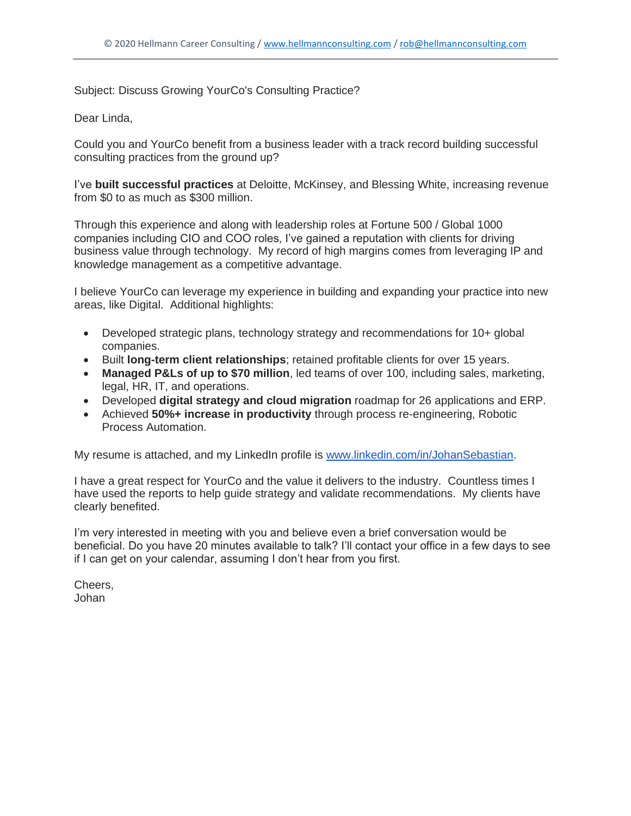Subject: Discuss Growing YourCo's Consulting Practice?

## Dear Linda,

Could you and YourCo benefit from a business leader with a track record building successful consulting practices from the ground up?

I've **built successful practices** at Deloitte, McKinsey, and Blessing White, increasing revenue from \$0 to as much as \$300 million.

Through this experience and along with leadership roles at Fortune 500 / Global 1000 companies including CIO and COO roles, I've gained a reputation with clients for driving business value through technology. My record of high margins comes from leveraging IP and knowledge management as a competitive advantage.

I believe YourCo can leverage my experience in building and expanding your practice into new areas, like Digital. Additional highlights:

- Developed strategic plans, technology strategy and recommendations for 10+ global companies.
- Built **long-term client relationships**; retained profitable clients for over 15 years.
- **Managed P&Ls of up to \$70 million**, led teams of over 100, including sales, marketing, legal, HR, IT, and operations.
- Developed **digital strategy and cloud migration** roadmap for 26 applications and ERP.
- Achieved **50%+ increase in productivity** through process re-engineering, Robotic Process Automation.

My resume is attached, and my LinkedIn profile is [www.linkedin.com/in/JohanSebastian.](http://www.linkedin.com/in/alex-sharpe-3rd)

I have a great respect for YourCo and the value it delivers to the industry. Countless times I have used the reports to help guide strategy and validate recommendations. My clients have clearly benefited.

I'm very interested in meeting with you and believe even a brief conversation would be beneficial. Do you have 20 minutes available to talk? I'll contact your office in a few days to see if I can get on your calendar, assuming I don't hear from you first.

Cheers, Johan